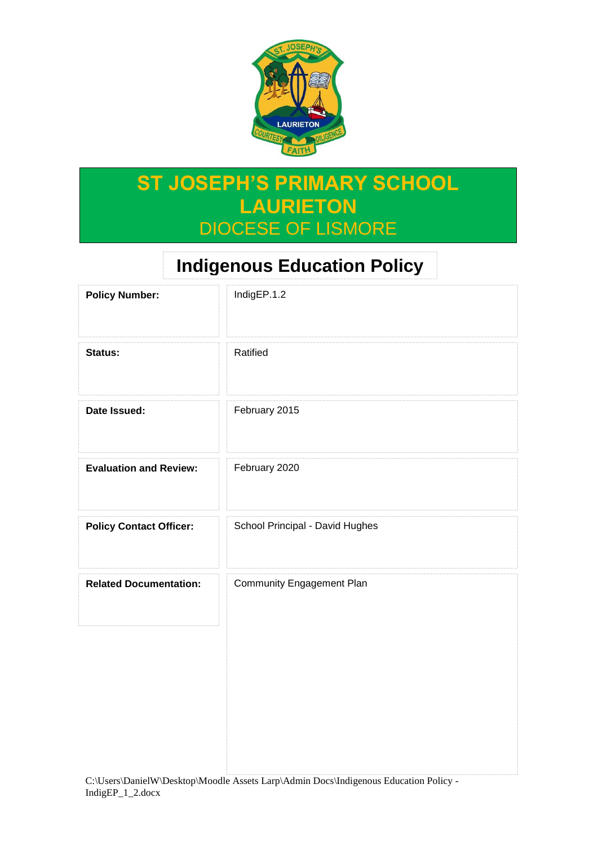

# **ST JOSEPH'S PRIMARY SCHOOL LAURIETON** DIOCESE OF LISMORE

# **Indigenous Education Policy**

| <b>Policy Number:</b>          | IndigEP.1.2                     |
|--------------------------------|---------------------------------|
| Status:                        | Ratified                        |
| Date Issued:                   | February 2015                   |
| <b>Evaluation and Review:</b>  | February 2020                   |
| <b>Policy Contact Officer:</b> | School Principal - David Hughes |
| <b>Related Documentation:</b>  | Community Engagement Plan       |
|                                |                                 |